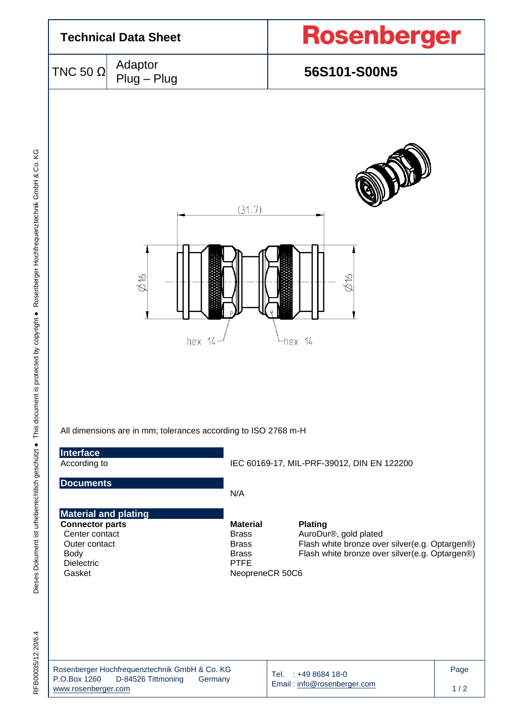